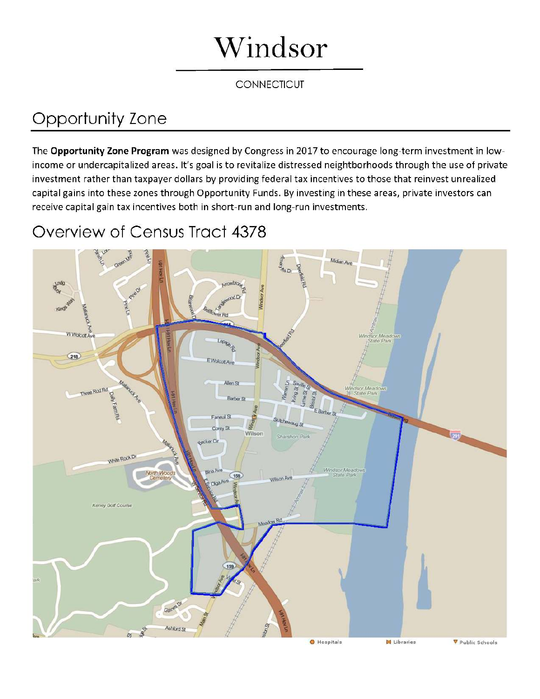## Windsor

## **CONNECTICUT**

## Opportunity Zone

The Opportunity Zone Program was designed by Congress in 2017 to encourage long-term investment in lowincome or undercapitalized areas. It's goal is to revitalize distressed neightborhoods through the use of private investment rather than taxpayer dollars by providing federal tax incentives to those that reinvest unrealized capital gains into these zones through Opportunity Funds. By investing in these areas, private investors can receive capital gain tax incentives both in short-run and long-run investments.

## Overview of Census Tract 4378